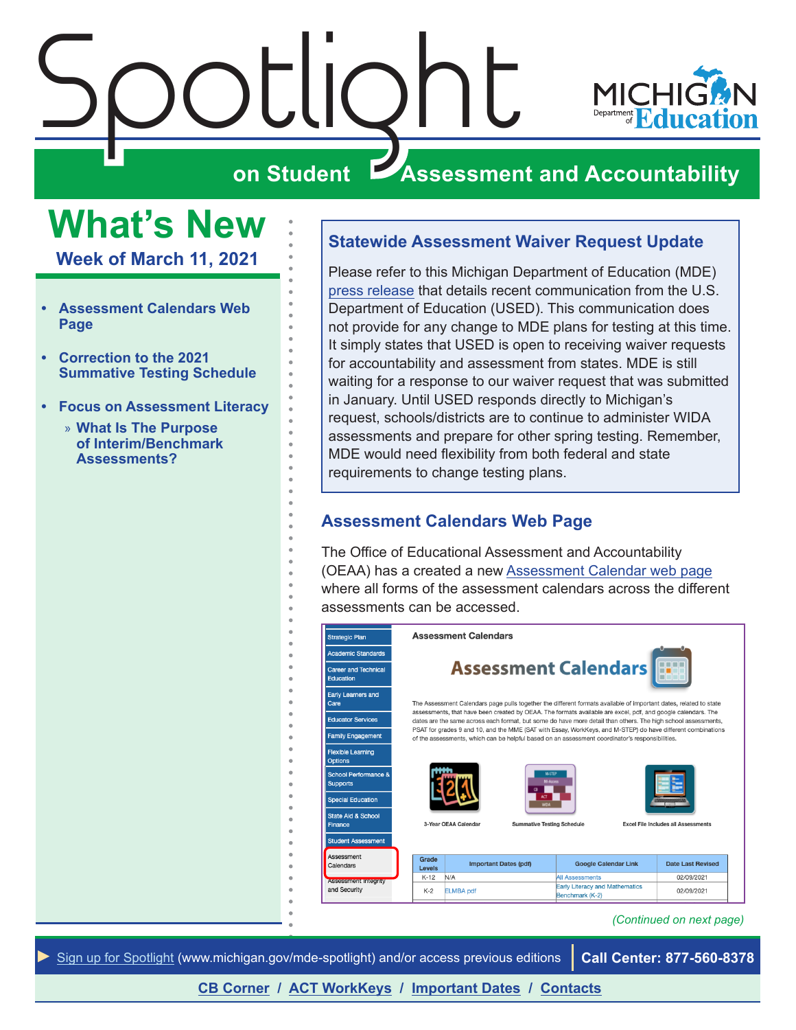

# $\sum_{\text{on student}}$ **ZASSESSMENT AND ACCOUNTABILITY**

## <span id="page-0-0"></span>**What's New**

**Week of March 11, 2021**

- **• Assessment Calendars Web Page**
- **• [Correction to the 2021](#page-2-0)  [Summative Testing Schedule](#page-2-0)**
- **• [Focus on Assessment Literacy](#page-3-0)**
	- » **[What Is The Purpose](#page-3-0)  [of Interim/Benchmark](#page-3-0)  [Assessments?](#page-3-0)**

#### **Statewide Assessment Waiver Request Update**

Please refer to this Michigan Department of Education (MDE) [press release](https://www.michigan.gov/mde/0,4615,7-140-37818_34785-552657--,00.html) that details recent communication from the U.S. Department of Education (USED). This communication does not provide for any change to MDE plans for testing at this time. It simply states that USED is open to receiving waiver requests for accountability and assessment from states. MDE is still waiting for a response to our waiver request that was submitted in January. Until USED responds directly to Michigan's request, schools/districts are to continue to administer WIDA assessments and prepare for other spring testing. Remember, MDE would need flexibility from both federal and state requirements to change testing plans.

### **Assessment Calendars Web Page**

The Office of Educational Assessment and Accountability (OEAA) has a created a new [Assessment Calendar web page](https://www.michigan.gov/mde/0,4615,7-140-22709_105605---,00.html) where all forms of the assessment calendars across the different assessments can be accessed.

| <b>Strategic Plan</b>                      |                                                                                                                                                                                                                               | <b>Assessment Calendars</b>                                                                                       |                                                          |                                            |  |
|--------------------------------------------|-------------------------------------------------------------------------------------------------------------------------------------------------------------------------------------------------------------------------------|-------------------------------------------------------------------------------------------------------------------|----------------------------------------------------------|--------------------------------------------|--|
| <b>Academic Standards</b>                  |                                                                                                                                                                                                                               |                                                                                                                   |                                                          |                                            |  |
| <b>Career and Technical</b><br>Education   | <b>Assessment Calendars</b>                                                                                                                                                                                                   |                                                                                                                   |                                                          |                                            |  |
| <b>Early Learners and</b><br>Care          |                                                                                                                                                                                                                               | The Assessment Calendars page pulls together the different formats available of important dates, related to state |                                                          |                                            |  |
| <b>Educator Services</b>                   | assessments, that have been created by OEAA. The formats available are excel, pdf, and google calendars. The<br>dates are the same across each format, but some do have more detail than others. The high school assessments, |                                                                                                                   |                                                          |                                            |  |
| <b>Family Engagement</b>                   | PSAT for grades 9 and 10, and the MME (SAT with Essay, WorkKeys, and M-STEP) do have different combinations<br>of the assessments, which can be helpful based on an assessment coordinator's responsibilities.                |                                                                                                                   |                                                          |                                            |  |
| <b>Flexible Learning</b><br><b>Options</b> |                                                                                                                                                                                                                               |                                                                                                                   |                                                          |                                            |  |
| School Performance &<br><b>Supports</b>    |                                                                                                                                                                                                                               | <b>M-STEP</b><br><b>MI-Access</b>                                                                                 |                                                          |                                            |  |
| <b>Special Education</b>                   |                                                                                                                                                                                                                               |                                                                                                                   |                                                          |                                            |  |
| <b>State Aid &amp; School</b><br>Finance   |                                                                                                                                                                                                                               | 3-Year OEAA Calendar<br><b>Summative Testing Schedule</b>                                                         |                                                          | <b>Excel File Includes all Assessments</b> |  |
| <b>Student Assessment</b>                  |                                                                                                                                                                                                                               |                                                                                                                   |                                                          |                                            |  |
| Assessment<br>Calendars                    | Grade<br>Levels                                                                                                                                                                                                               | <b>Important Dates (pdf)</b>                                                                                      | <b>Google Calendar Link</b>                              | <b>Date Last Revised</b>                   |  |
| <b>Assessment Integrity</b>                | $K-12$                                                                                                                                                                                                                        | N/A                                                                                                               | <b>All Assessments</b>                                   | 02/09/2021                                 |  |
| and Security                               | $K-2$                                                                                                                                                                                                                         | <b>ELMBA pdf</b>                                                                                                  | <b>Early Literacy and Mathematics</b><br>Benchmark (K-2) | 02/09/2021                                 |  |

#### *(Continued on next page)*



**[CB Corner](#page-5-0) / [ACT WorkKeys](#page-7-0) / [Important Dates](#page-8-0) / [Contacts](#page-9-0)**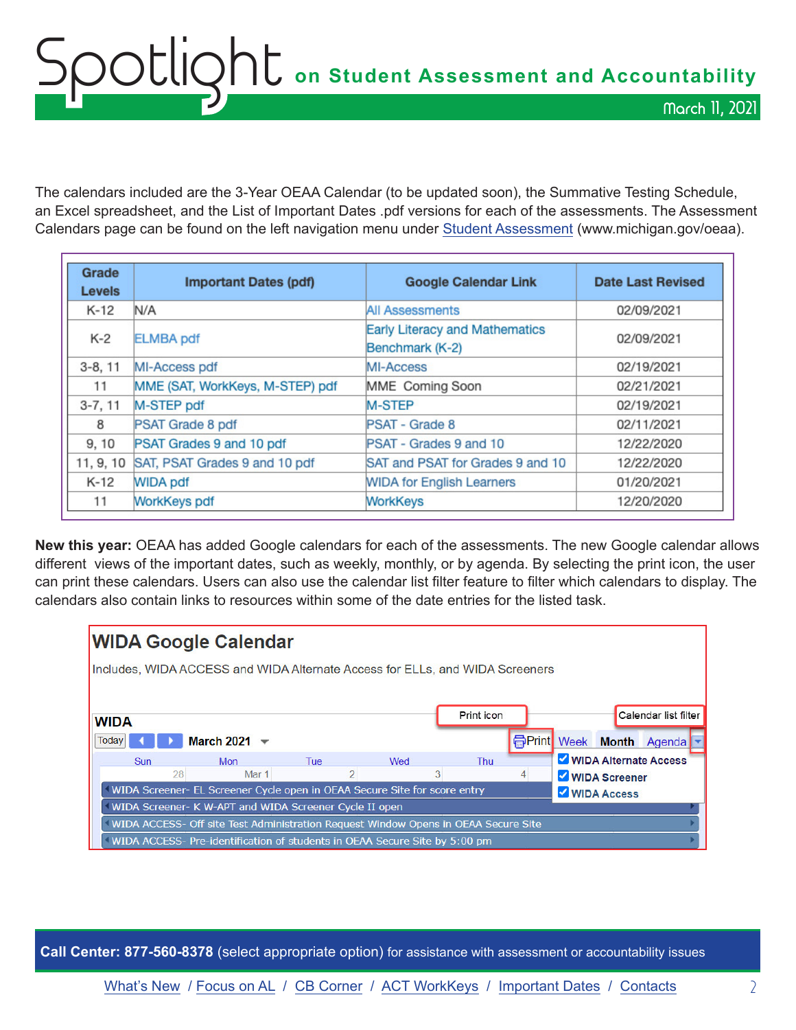## OOCLIQht on Student Assessment and Accountability March 11, 2021

The calendars included are the 3-Year OEAA Calendar (to be updated soon), the Summative Testing Schedule, an Excel spreadsheet, and the List of Important Dates .pdf versions for each of the assessments. The Assessment Calendars page can be found on the left navigation menu under [Student Assessment](http://www.michigan.gov/oeaa) (www.michigan.gov/oeaa).

| Grade<br><b>Levels</b> | <b>Important Dates (pdf)</b>    | <b>Google Calendar Link</b>                              | <b>Date Last Revised</b> |
|------------------------|---------------------------------|----------------------------------------------------------|--------------------------|
| $K-12$                 | N/A                             | <b>All Assessments</b>                                   | 02/09/2021               |
| $K-2$                  | <b>ELMBA</b> pdf                | <b>Early Literacy and Mathematics</b><br>Benchmark (K-2) | 02/09/2021               |
| $3-8, 11$              | MI-Access pdf                   | MI-Access                                                | 02/19/2021               |
| 11                     | MME (SAT, WorkKeys, M-STEP) pdf | MME Coming Soon                                          | 02/21/2021               |
| $3 - 7, 11$            | M-STEP pdf                      | <b>M-STEP</b>                                            | 02/19/2021               |
| 8                      | PSAT Grade 8 pdf                | PSAT - Grade 8                                           | 02/11/2021               |
| 9, 10                  | PSAT Grades 9 and 10 pdf        | PSAT - Grades 9 and 10                                   | 12/22/2020               |
| 11, 9, 10              | SAT, PSAT Grades 9 and 10 pdf   | SAT and PSAT for Grades 9 and 10                         | 12/22/2020               |
| K-12                   | <b>WIDA pdf</b>                 | <b>WIDA for English Learners</b>                         | 01/20/2021               |
| 11                     | <b>WorkKeys pdf</b>             | <b>WorkKeys</b>                                          | 12/20/2020               |

**New this year:** OEAA has added Google calendars for each of the assessments. The new Google calendar allows different views of the important dates, such as weekly, monthly, or by agenda. By selecting the print icon, the user can print these calendars. Users can also use the calendar list filter feature to filter which calendars to display. The calendars also contain links to resources within some of the date entries for the listed task.



**Call Center: 877-560-8378** (select appropriate option) for assistance with assessment or accountability issues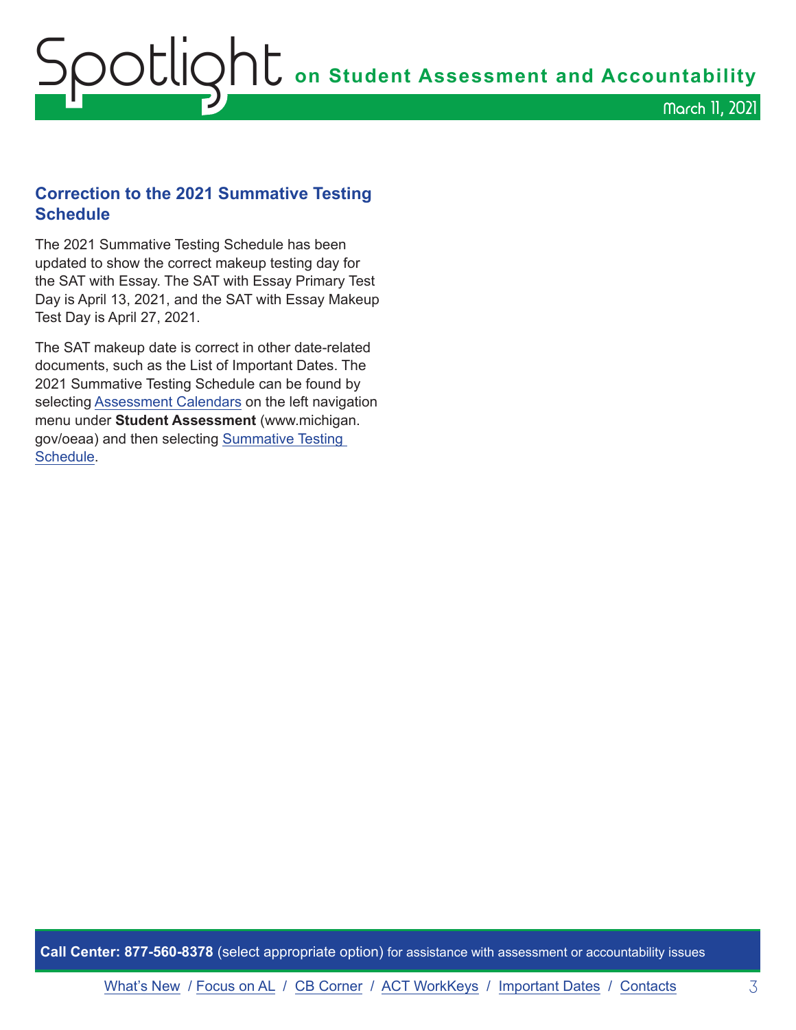## <span id="page-2-0"></span>Spotlight **on Student Assessment and Accountability** March 11, 2021

## **Correction to the 2021 Summative Testing Schedule**

The 2021 Summative Testing Schedule has been updated to show the correct makeup testing day for the SAT with Essay. The SAT with Essay Primary Test Day is April 13, 2021, and the SAT with Essay Makeup Test Day is April 27, 2021.

The SAT makeup date is correct in other date-related documents, such as the List of Important Dates. The 2021 Summative Testing Schedule can be found by selecting [Assessment Calendars](https://www.michigan.gov/mde/0,4615,7-140-22709_105605---,00.html) on the left navigation menu under **Student Assessment** (www.michigan. gov/oeaa) and then selecting [Summative Testing](https://www.michigan.gov/documents/mde/Testing_Schedule_for_Summative_Assessments_635008_7.pdf)  [Schedule.](https://www.michigan.gov/documents/mde/Testing_Schedule_for_Summative_Assessments_635008_7.pdf)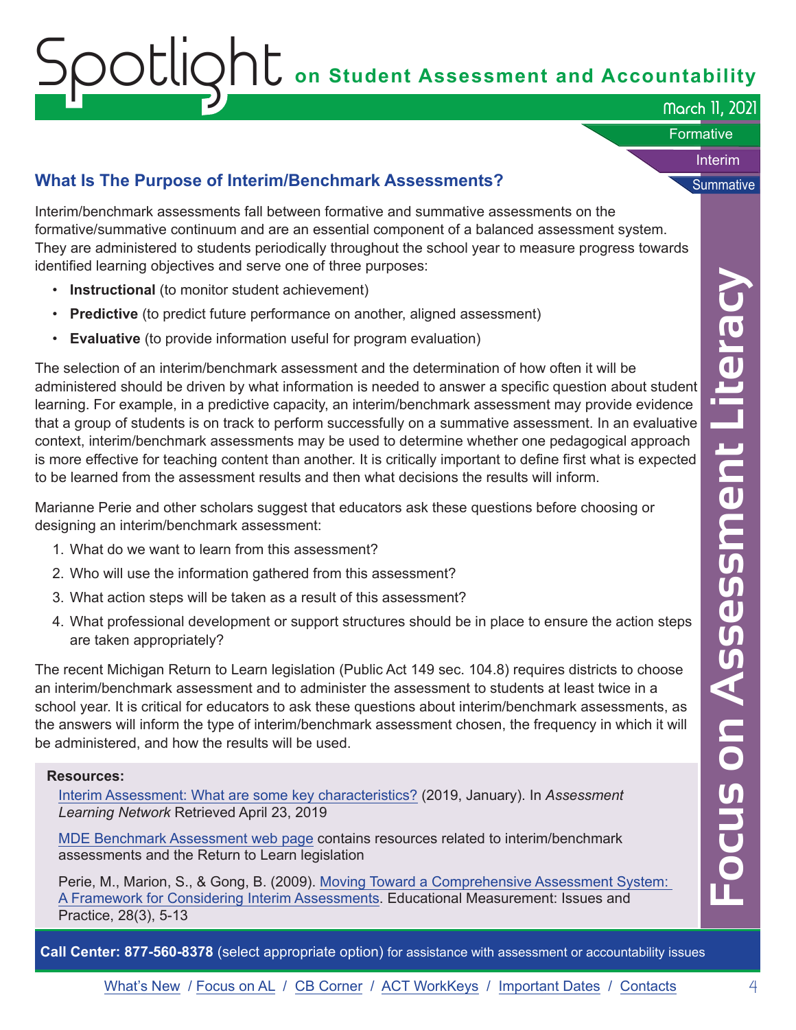# <span id="page-3-0"></span> $\mathcal{S}$   $\mathcal{S}$   $\mathcal{S}$   $\mathcal{S}$   $\mathcal{S}$   $\mathcal{S}$   $\mathcal{S}$   $\mathcal{S}$  on Student Assessment and Accountability

March 11, 2021

Interim

**Formative** 

## **What Is The Purpose of Interim/Benchmark Assessments?** Summative

Interim/benchmark assessments fall between formative and summative assessments on the formative/summative continuum and are an essential component of a balanced assessment system. They are administered to students periodically throughout the school year to measure progress towards identified learning objectives and serve one of three purposes:

- **Instructional** (to monitor student achievement)
- **Predictive** (to predict future performance on another, aligned assessment)
- **Evaluative** (to provide information useful for program evaluation)

extrained to mother through the matter in the particle of the convertering the correct on a mother, aligned assessment)<br>
the correct on Al and the mother of the properties with the correct one about a the mother of the mot The selection of an interim/benchmark assessment and the determination of how often it will be administered should be driven by what information is needed to answer a specific question about student learning. For example, in a predictive capacity, an interim/benchmark assessment may provide evidence that a group of students is on track to perform successfully on a summative assessment. In an evaluative context, interim/benchmark assessments may be used to determine whether one pedagogical approach is more effective for teaching content than another. It is critically important to define first what is expected to be learned from the assessment results and then what decisions the results will inform.

Marianne Perie and other scholars suggest that educators ask these questions before choosing or designing an interim/benchmark assessment:

- 1. What do we want to learn from this assessment?
- 2. Who will use the information gathered from this assessment?
- 3. What action steps will be taken as a result of this assessment?
- 4. What professional development or support structures should be in place to ensure the action steps are taken appropriately?

The recent Michigan Return to Learn legislation (Public Act 149 sec. 104.8) requires districts to choose an interim/benchmark assessment and to administer the assessment to students at least twice in a school year. It is critical for educators to ask these questions about interim/benchmark assessments, as the answers will inform the type of interim/benchmark assessment chosen, the frequency in which it will be administered, and how the results will be used.

#### **Resources:**

[Interim Assessment: What are some key characteristics?](https://www.michiganassessmentconsortium.org/wp-content/uploads/2019_January_INTERIM_ASSESSMENT_KEY_CHARACTERISTICS_REV.pdf) (2019, January). In *Assessment Learning Network* Retrieved April 23, 2019

[MDE Benchmark Assessment web page](http://www.michigan.gov/mde-benchmarkassessments) contains resources related to interim/benchmark assessments and the Return to Learn legislation

Perie, M., Marion, S., & Gong, B. (2009). [Moving Toward a Comprehensive Assessment System:](https://www.ncaase.com/docs/PerieMarionGong2009.pdf)  [A Framework for Considering Interim Assessments.](https://www.ncaase.com/docs/PerieMarionGong2009.pdf) Educational Measurement: Issues and Practice, 28(3), 5-13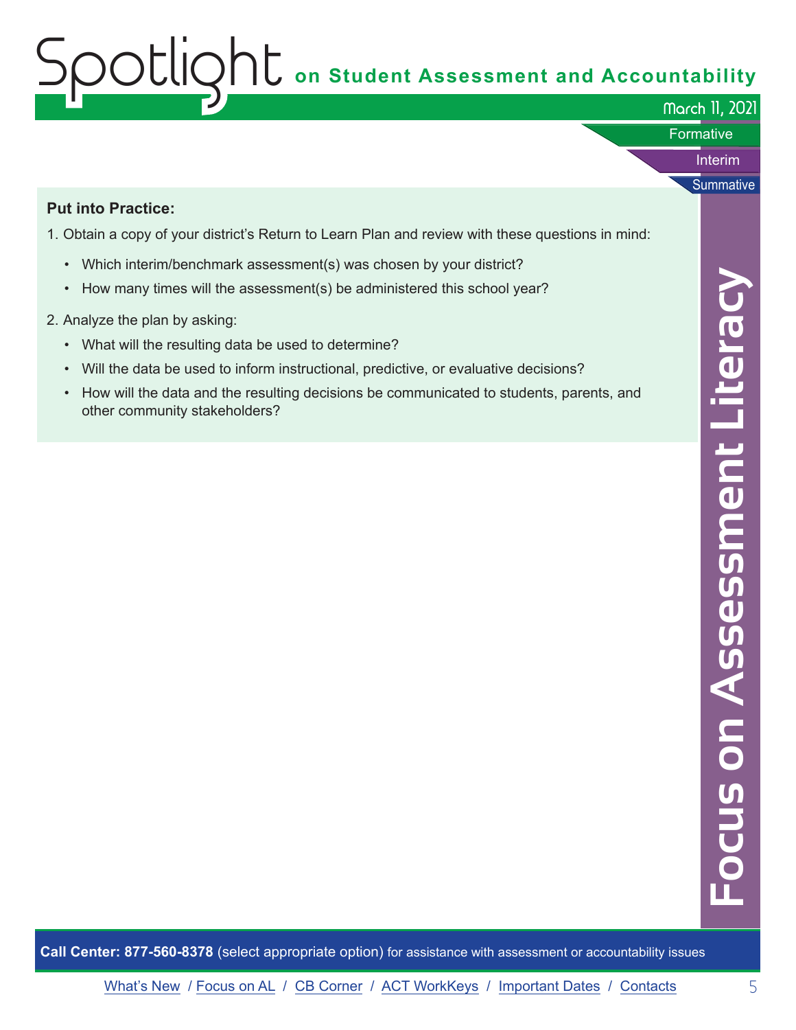# Spotlight **on Student Assessment and Accountability**

|                                                                                                                                                                                                                                                                                                                                                                                                                                                                                                                                                                                                                                                             | March 11, 2021  |
|-------------------------------------------------------------------------------------------------------------------------------------------------------------------------------------------------------------------------------------------------------------------------------------------------------------------------------------------------------------------------------------------------------------------------------------------------------------------------------------------------------------------------------------------------------------------------------------------------------------------------------------------------------------|-----------------|
|                                                                                                                                                                                                                                                                                                                                                                                                                                                                                                                                                                                                                                                             | Formative       |
|                                                                                                                                                                                                                                                                                                                                                                                                                                                                                                                                                                                                                                                             | Interim         |
| <b>Put into Practice:</b><br>1. Obtain a copy of your district's Return to Learn Plan and review with these questions in mind:<br>Which interim/benchmark assessment(s) was chosen by your district?<br>$\bullet$<br>How many times will the assessment(s) be administered this school year?<br>$\bullet$<br>2. Analyze the plan by asking:<br>What will the resulting data be used to determine?<br>$\bullet$<br>Will the data be used to inform instructional, predictive, or evaluative decisions?<br>$\bullet$<br>How will the data and the resulting decisions be communicated to students, parents, and<br>$\bullet$<br>other community stakeholders? | Summative       |
|                                                                                                                                                                                                                                                                                                                                                                                                                                                                                                                                                                                                                                                             | essment Literac |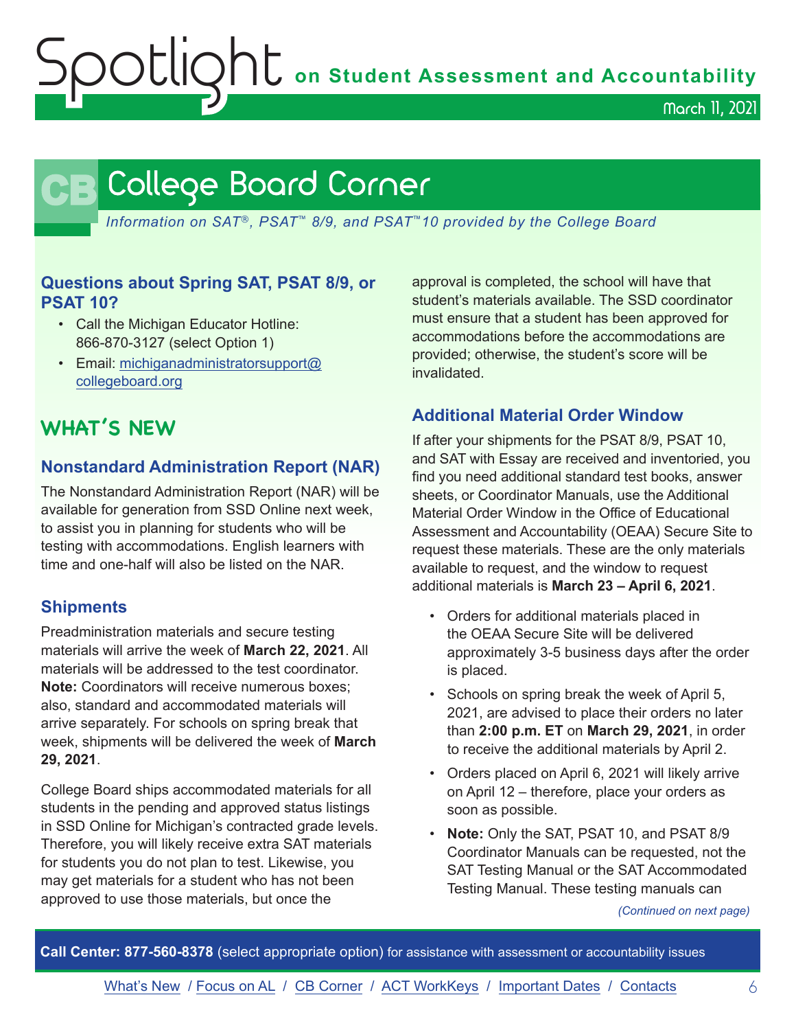Spotlight **on Student Assessment and Accountability**

March 11, 2021

## **CB** College Board Corner

<span id="page-5-0"></span>*Information on SAT*®*, PSAT*™ *8/9, and PSAT*™*10 provided by the College Board*

## **Questions about Spring SAT, PSAT 8/9, or PSAT 10?**

- Call the Michigan Educator Hotline: 866-870-3127 (select Option 1)
- Email: [michiganadministratorsupport@](mailto:michiganadministratorsupport%40collegeboard.org?subject=) [collegeboard.org](mailto:michiganadministratorsupport%40collegeboard.org?subject=)

## **WHAT'S NEW**

## **Nonstandard Administration Report (NAR)**

The Nonstandard Administration Report (NAR) will be available for generation from SSD Online next week, to assist you in planning for students who will be testing with accommodations. English learners with time and one-half will also be listed on the NAR.

## **Shipments**

Preadministration materials and secure testing materials will arrive the week of **March 22, 2021**. All materials will be addressed to the test coordinator. **Note:** Coordinators will receive numerous boxes; also, standard and accommodated materials will arrive separately. For schools on spring break that week, shipments will be delivered the week of **March 29, 2021**.

College Board ships accommodated materials for all students in the pending and approved status listings in SSD Online for Michigan's contracted grade levels. Therefore, you will likely receive extra SAT materials for students you do not plan to test. Likewise, you may get materials for a student who has not been approved to use those materials, but once the

approval is completed, the school will have that student's materials available. The SSD coordinator must ensure that a student has been approved for accommodations before the accommodations are provided; otherwise, the student's score will be invalidated.

## **Additional Material Order Window**

If after your shipments for the PSAT 8/9, PSAT 10, and SAT with Essay are received and inventoried, you find you need additional standard test books, answer sheets, or Coordinator Manuals, use the Additional Material Order Window in the Office of Educational Assessment and Accountability (OEAA) Secure Site to request these materials. These are the only materials available to request, and the window to request additional materials is **March 23 – April 6, 2021**.

- Orders for additional materials placed in the OEAA Secure Site will be delivered approximately 3-5 business days after the order is placed.
- Schools on spring break the week of April 5, 2021, are advised to place their orders no later than **2:00 p.m. ET** on **March 29, 2021**, in order to receive the additional materials by April 2.
- Orders placed on April 6, 2021 will likely arrive on April 12 – therefore, place your orders as soon as possible.
- **Note:** Only the SAT, PSAT 10, and PSAT 8/9 Coordinator Manuals can be requested, not the SAT Testing Manual or the SAT Accommodated Testing Manual. These testing manuals can

*(Continued on next page)*

**Call Center: 877-560-8378** (select appropriate option) for assistance with assessment or accountability issues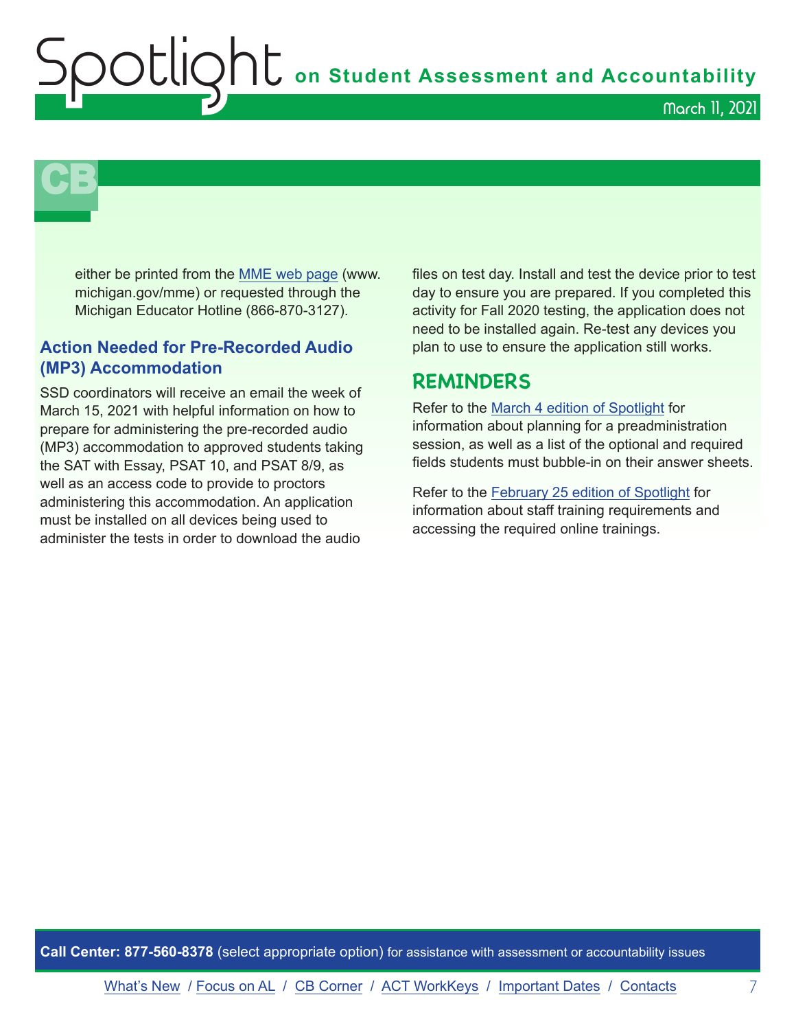**Shutter on Student Assessment and Accountability** 

March 11, 2021



either be printed from the [MME web page](www.michigan.gov/mme) (www. michigan.gov/mme) or requested through the Michigan Educator Hotline (866-870-3127).

## **Action Needed for Pre-Recorded Audio (MP3) Accommodation**

SSD coordinators will receive an email the week of March 15, 2021 with helpful information on how to prepare for administering the pre-recorded audio (MP3) accommodation to approved students taking the SAT with Essay, PSAT 10, and PSAT 8/9, as well as an access code to provide to proctors administering this accommodation. An application must be installed on all devices being used to administer the tests in order to download the audio

files on test day. Install and test the device prior to test day to ensure you are prepared. If you completed this activity for Fall 2020 testing, the application does not need to be installed again. Re-test any devices you plan to use to ensure the application still works.

## **REMINDERS**

Refer to the [March 4 edition of Spotlight](https://www.michigan.gov/documents/mde/Spotlight_3-4-21_718250_7.pdf) for information about planning for a preadministration session, as well as a list of the optional and required fields students must bubble-in on their answer sheets.

Refer to the [February 25 edition of Spotlight](https://www.michigan.gov/documents/mde/Spotlight_2-25-21_717569_7.pdf) for information about staff training requirements and accessing the required online trainings.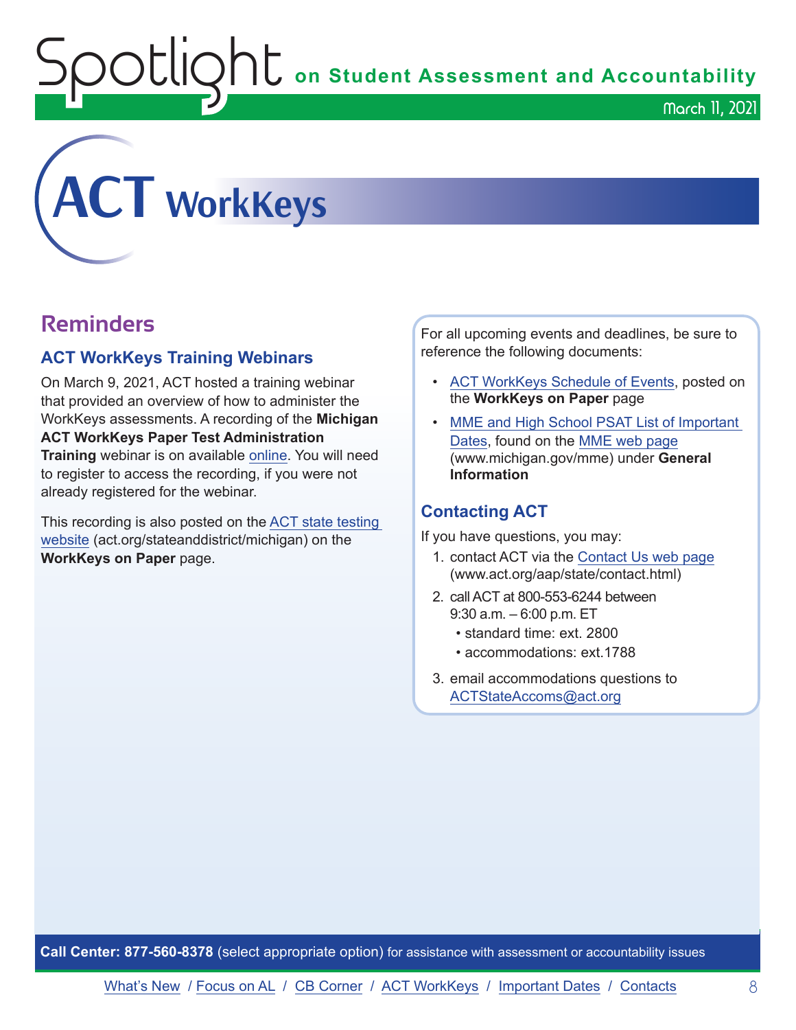OUIQhL on Student Assessment and Accountability

<span id="page-7-0"></span>

## **Reminders**

## **ACT WorkKeys Training Webinars**

On March 9, 2021, ACT hosted a training webinar that provided an overview of how to administer the WorkKeys assessments. A recording of the **Michigan ACT WorkKeys Paper Test Administration Training** webinar is on available [online](https://event.on24.com/wcc/r/2786186/CF7F33DC4E50245260EB7C422A035629). You will need to register to access the recording, if you were not already registered for the webinar.

This recording is also posted on the [ACT state testing](http://act.org/stateanddistrict/michigan)  [website](http://act.org/stateanddistrict/michigan) (act.org/stateanddistrict/michigan) on the **WorkKeys on Paper** page.

For all upcoming events and deadlines, be sure to reference the following documents:

- [ACT WorkKeys Schedule of Events,](https://content.act.org/michigan/r/YWy2bAxclTdZAcOxrrNErw/root) posted on the **WorkKeys on Paper** page
- MME and High School PSAT List of Important [Dates](https://www.michigan.gov/mde/0,4615,7-140-22709_105605---,00.html), found on the [MME web page](www.michigan.gov/mme) (www.michigan.gov/mme) under **General Information**

## **Contacting ACT**

If you have questions, you may:

- 1. contact ACT via the [Contact Us web page](http://www.act.org/aap/state/contact.html) ([www.act.org/aap/state/contact.html\)](https://www.act.org/aap/state/contact.html)
- 2. call ACT at 800-553-6244 between 9:30 a.m. – 6:00 p.m. ET
	- standard time: ext. 2800
	- accommodations: ext.1788
- 3. email accommodations questions to [ACTStateAccoms@act.org](mailto:ACTStateAccoms%40act.org?subject=)

**Call Center: 877-560-8378** (select appropriate option) for assistance with assessment or accountability issues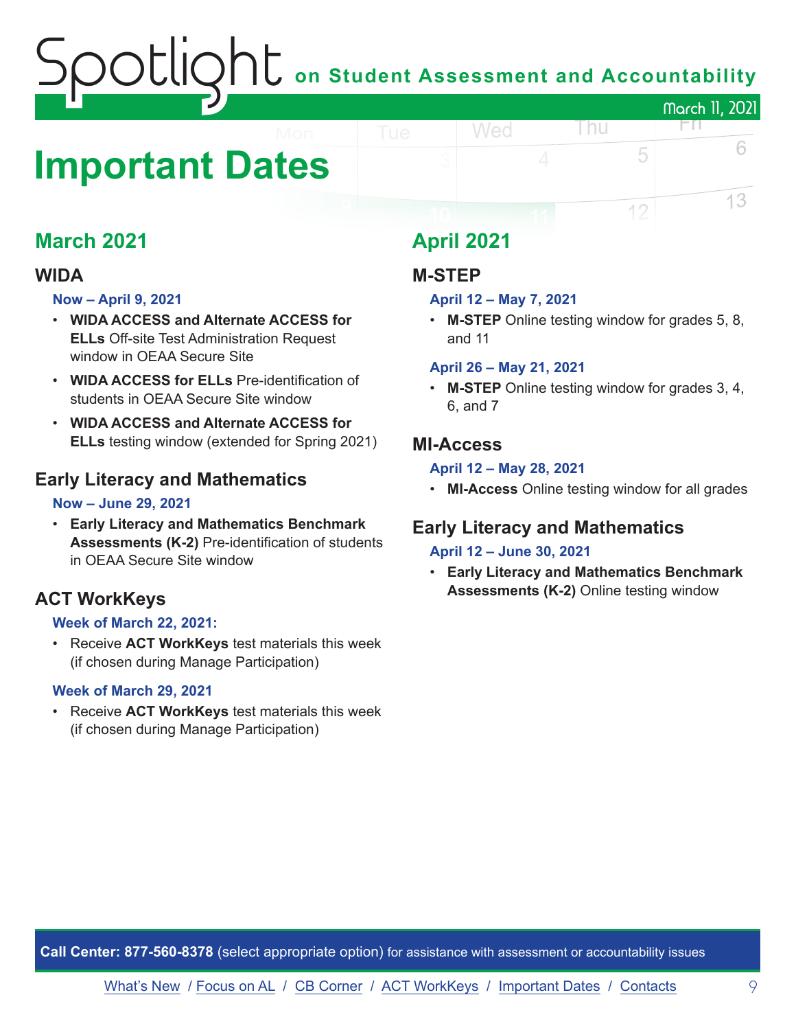## on Student Assessment and Accountability March 11, 2021

## <span id="page-8-0"></span>**Important Dates**

## **March 2021**

## **WIDA**

### **Now – April 9, 2021**

- **WIDA ACCESS and Alternate ACCESS for ELLs** Off-site Test Administration Request window in OEAA Secure Site
- **WIDA ACCESS for ELLs** Pre-identification of students in OEAA Secure Site window
- **WIDA ACCESS and Alternate ACCESS for ELLs** testing window (extended for Spring 2021)

## **Early Literacy and Mathematics**

### **Now – June 29, 2021**

• **Early Literacy and Mathematics Benchmark Assessments (K-2)** Pre-identification of students in OEAA Secure Site window

## **ACT WorkKeys**

### **Week of March 22, 2021:**

• Receive **ACT WorkKeys** test materials this week (if chosen during Manage Participation)

### **Week of March 29, 2021**

• Receive **ACT WorkKeys** test materials this week (if chosen during Manage Participation)

## **April 2021**

## **M-STEP**

### **April 12 – May 7, 2021**

Wed

• **M-STEP** Online testing window for grades 5, 8, and 11

l nu

FП.

5

12

6

13

### **April 26 – May 21, 2021**

• **M-STEP** Online testing window for grades 3, 4, 6, and 7

## **MI-Access**

### **April 12 – May 28, 2021**

• **MI-Access** Online testing window for all grades

## **Early Literacy and Mathematics**

### **April 12 – June 30, 2021**

• **Early Literacy and Mathematics Benchmark Assessments (K-2)** Online testing window

**Call Center: 877-560-8378** (select appropriate option) for assistance with assessment or accountability issues